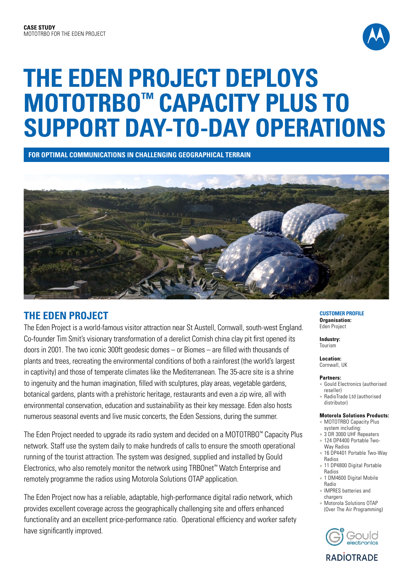

# **THE EDEN PROJECT DEPLOYS MOTOTRBO™ CAPACITY PLUS TO SUPPORT DAY-TO-DAY OPERATIONS**

**FOR OPTIMAL COMMUNICATIONS IN CHALLENGING GEOGRAPHICAL TERRAIN**



## **THE EDEN PROJECT**

The Eden Project is a world-famous visitor attraction near St Austell, Cornwall, south-west England. Co-founder Tim Smit's visionary transformation of a derelict Cornish china clay pit first opened its doors in 2001. The two iconic 300ft geodesic domes – or Biomes – are filled with thousands of plants and trees, recreating the environmental conditions of both a rainforest (the world's largest in captivity) and those of temperate climates like the Mediterranean. The 35-acre site is a shrine to ingenuity and the human imagination, filled with sculptures, play areas, vegetable gardens, botanical gardens, plants with a prehistoric heritage, restaurants and even a zip wire, all with environmental conservation, education and sustainability as their key message. Eden also hosts numerous seasonal events and live music concerts, the Eden Sessions, during the summer.

The Eden Project needed to upgrade its radio system and decided on a MOTOTRBO™ Capacity Plus network. Staff use the system daily to make hundreds of calls to ensure the smooth operational running of the tourist attraction. The system was designed, supplied and installed by Gould Electronics, who also remotely monitor the network using TRBOnet™ Watch Enterprise and remotely programme the radios using Motorola Solutions OTAP application.

The Eden Project now has a reliable, adaptable, high-performance digital radio network, which provides excellent coverage across the geographically challenging site and offers enhanced functionality and an excellent price-performance ratio. Operational efficiency and worker safety have significantly improved.

#### **CUSTOMER PROFILE Organisation:** Eden Project

**Industry:** Tourism

**Location:** Cornwall, UK

### **Partners:**

- **Gould Electronics (authorised** reseller)
- <sup>l</sup> RadioTrade Ltd (authorised distributor)

## **Motorola Solutions Products:**

- MOTOTRBO Capacity Plus system including:
- 3 DR 3000 UHF Repeaters
	- <sup>l</sup> 124 DP4400 Portable Two-Way Radios
	- 16 DP4401 Portable Two-Way Radios
	- 11 DP4800 Digital Portable Radios
	- 1 DM4600 Digital Mobile Radio
	- **IMPRES batteries and** chargers
	- Motorola Solutions OTAP (Over The Air Programming)



**RADIOTRADE**